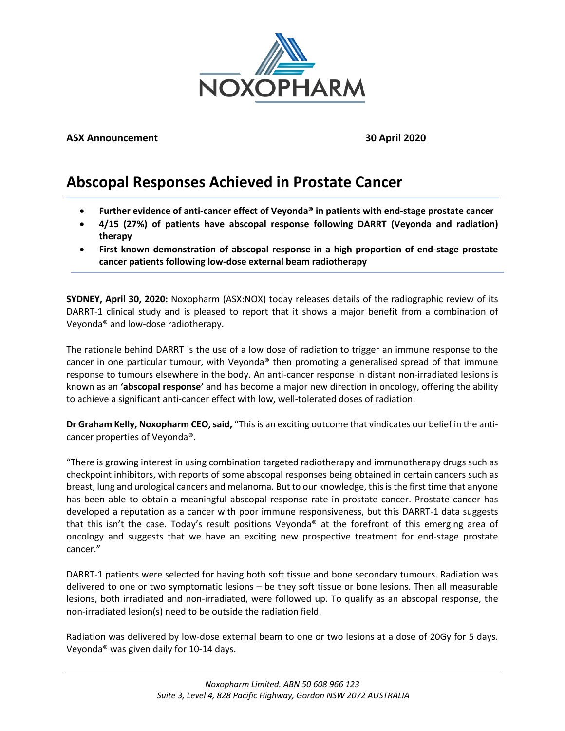

## **ASX Announcement 30 April 2020**

# **Abscopal Responses Achieved in Prostate Cancer**

- **Further evidence of anti-cancer effect of Veyonda® in patients with end-stage prostate cancer**
- **4/15 (27%) of patients have abscopal response following DARRT (Veyonda and radiation) therapy**
- **First known demonstration of abscopal response in a high proportion of end-stage prostate cancer patients following low-dose external beam radiotherapy**

**SYDNEY, April 30, 2020:** Noxopharm (ASX:NOX) today releases details of the radiographic review of its DARRT-1 clinical study and is pleased to report that it shows a major benefit from a combination of Veyonda® and low-dose radiotherapy.

The rationale behind DARRT is the use of a low dose of radiation to trigger an immune response to the cancer in one particular tumour, with Veyonda® then promoting a generalised spread of that immune response to tumours elsewhere in the body. An anti-cancer response in distant non-irradiated lesions is known as an **'abscopal response'** and has become a major new direction in oncology, offering the ability to achieve a significant anti-cancer effect with low, well-tolerated doses of radiation.

**Dr Graham Kelly, Noxopharm CEO, said,** "This is an exciting outcome that vindicates our belief in the anticancer properties of Veyonda®.

"There is growing interest in using combination targeted radiotherapy and immunotherapy drugs such as checkpoint inhibitors, with reports of some abscopal responses being obtained in certain cancers such as breast, lung and urological cancers and melanoma. But to our knowledge, this is the first time that anyone has been able to obtain a meaningful abscopal response rate in prostate cancer. Prostate cancer has developed a reputation as a cancer with poor immune responsiveness, but this DARRT-1 data suggests that this isn't the case. Today's result positions Veyonda® at the forefront of this emerging area of oncology and suggests that we have an exciting new prospective treatment for end-stage prostate cancer."

DARRT-1 patients were selected for having both soft tissue and bone secondary tumours. Radiation was delivered to one or two symptomatic lesions – be they soft tissue or bone lesions. Then all measurable lesions, both irradiated and non-irradiated, were followed up. To qualify as an abscopal response, the non-irradiated lesion(s) need to be outside the radiation field.

Radiation was delivered by low-dose external beam to one or two lesions at a dose of 20Gy for 5 days. Veyonda® was given daily for 10-14 days.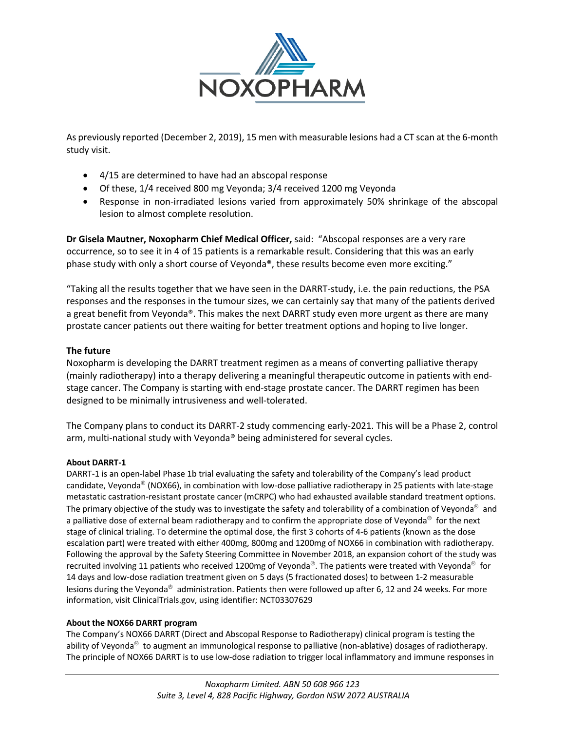

As previously reported (December 2, 2019), 15 men with measurable lesions had a CT scan at the 6-month study visit.

- 4/15 are determined to have had an abscopal response
- Of these, 1/4 received 800 mg Veyonda; 3/4 received 1200 mg Veyonda
- Response in non-irradiated lesions varied from approximately 50% shrinkage of the abscopal lesion to almost complete resolution.

**Dr Gisela Mautner, Noxopharm Chief Medical Officer,** said: "Abscopal responses are a very rare occurrence, so to see it in 4 of 15 patients is a remarkable result. Considering that this was an early phase study with only a short course of Veyonda®, these results become even more exciting."

"Taking all the results together that we have seen in the DARRT-study, i.e. the pain reductions, the PSA responses and the responses in the tumour sizes, we can certainly say that many of the patients derived a great benefit from Veyonda®. This makes the next DARRT study even more urgent as there are many prostate cancer patients out there waiting for better treatment options and hoping to live longer.

## **The future**

Noxopharm is developing the DARRT treatment regimen as a means of converting palliative therapy (mainly radiotherapy) into a therapy delivering a meaningful therapeutic outcome in patients with endstage cancer. The Company is starting with end-stage prostate cancer. The DARRT regimen has been designed to be minimally intrusiveness and well-tolerated.

The Company plans to conduct its DARRT-2 study commencing early-2021. This will be a Phase 2, control arm, multi-national study with Veyonda® being administered for several cycles.

## **About DARRT-1**

DARRT-1 is an open-label Phase 1b trial evaluating the safety and tolerability of the Company's lead product candidate, Veyonda<sup>®</sup> (NOX66), in combination with low-dose palliative radiotherapy in 25 patients with late-stage metastatic castration-resistant prostate cancer (mCRPC) who had exhausted available standard treatment options. The primary objective of the study was to investigate the safety and tolerability of a combination of Veyonda<sup>®</sup> and a palliative dose of external beam radiotherapy and to confirm the appropriate dose of Veyonda<sup>®</sup> for the next stage of clinical trialing. To determine the optimal dose, the first 3 cohorts of 4-6 patients (known as the dose escalation part) were treated with either 400mg, 800mg and 1200mg of NOX66 in combination with radiotherapy. Following the approval by the Safety Steering Committee in November 2018, an expansion cohort of the study was recruited involving 11 patients who received 1200mg of Veyonda<sup>®</sup>. The patients were treated with Veyonda<sup>®</sup> for 14 days and low-dose radiation treatment given on 5 days (5 fractionated doses) to between 1-2 measurable lesions during the Veyonda<sup>®</sup> administration. Patients then were followed up after 6, 12 and 24 weeks. For more information, visit ClinicalTrials.gov, using identifier: NCT03307629

## **About the NOX66 DARRT program**

The Company's NOX66 DARRT (Direct and Abscopal Response to Radiotherapy) clinical program is testing the ability of Veyonda<sup>®</sup> to augment an immunological response to palliative (non-ablative) dosages of radiotherapy. The principle of NOX66 DARRT is to use low-dose radiation to trigger local inflammatory and immune responses in